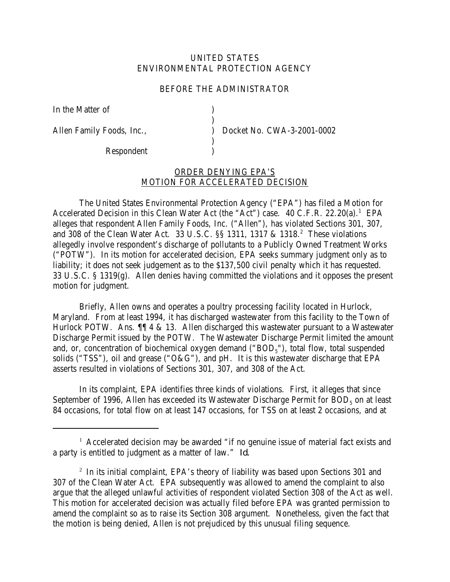## UNITED STATES ENVIRONMENTAL PROTECTION AGENCY

## BEFORE THE ADMINISTRATOR

)

)

In the Matter of (1)

Respondent )

Allen Family Foods, Inc.,  $Docket No. CWA-3-2001-0002$ 

## ORDER DENYING EPA'S MOTION FOR ACCELERATED DECISION

The United States Environmental Protection Agency ("EPA") has filed a Motion for Accelerated Decision in this Clean Water Act (the "Act") case. 40 C.F.R. 22.20(a).<sup>1</sup> EPA alleges that respondent Allen Family Foods, Inc. ("Allen"), has violated Sections 301, 307, and 308 of the Clean Water Act. 33 U.S.C. §§ 1311, 1317 & 1318.<sup>2</sup> These violations allegedly involve respondent's discharge of pollutants to a Publicly Owned Treatment Works ("POTW"). In its motion for accelerated decision, EPA seeks summary judgment only as to liability; it does not seek judgement as to the \$137,500 civil penalty which it has requested. 33 U.S.C. § 1319(g). Allen denies having committed the violations and it opposes the present motion for judgment.

Briefly, Allen owns and operates a poultry processing facility located in Hurlock, Maryland. From at least 1994, it has discharged wastewater from this facility to the Town of Hurlock POTW. Ans.  $\P$  4 & 13. Allen discharged this wastewater pursuant to a Wastewater Discharge Permit issued by the POTW. The Wastewater Discharge Permit limited the amount and, or, concentration of biochemical oxygen demand (" $BOD<sub>5</sub>$ "), total flow, total suspended solids ("TSS"), oil and grease ("O&G"), and pH. It is this wastewater discharge that EPA asserts resulted in violations of Sections 301, 307, and 308 of the Act.

In its complaint, EPA identifies three kinds of violations. First, it alleges that since September of 1996, Allen has exceeded its Wastewater Discharge Permit for  $BOD<sub>5</sub>$  on at least 84 occasions, for total flow on at least 147 occasions, for TSS on at least 2 occasions, and at

<sup>&</sup>lt;sup>1</sup> Accelerated decision may be awarded "if no genuine issue of material fact exists and a party is entitled to judgment as a matter of law." *Id.*

<sup>&</sup>lt;sup>2</sup> In its initial complaint, EPA's theory of liability was based upon Sections 301 and 307 of the Clean Water Act. EPA subsequently was allowed to amend the complaint to also argue that the alleged unlawful activities of respondent violated Section 308 of the Act as well. This motion for accelerated decision was actually filed before EPA was granted permission to amend the complaint so as to raise its Section 308 argument. Nonetheless, given the fact that the motion is being denied, Allen is not prejudiced by this unusual filing sequence.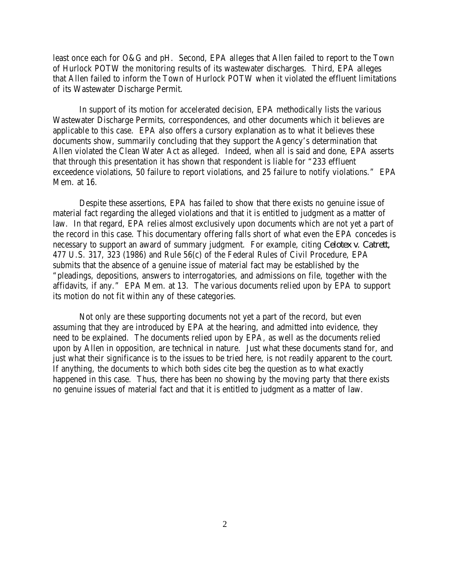least once each for O&G and pH. Second, EPA alleges that Allen failed to report to the Town of Hurlock POTW the monitoring results of its wastewater discharges. Third, EPA alleges that Allen failed to inform the Town of Hurlock POTW when it violated the effluent limitations of its Wastewater Discharge Permit.

In support of its motion for accelerated decision, EPA methodically lists the various Wastewater Discharge Permits, correspondences, and other documents which it believes are applicable to this case. EPA also offers a cursory explanation as to what it believes these documents show, summarily concluding that they support the Agency's determination that Allen violated the Clean Water Act as alleged. Indeed, when all is said and done, EPA asserts that through this presentation it has shown that respondent is liable for "233 effluent exceedence violations, 50 failure to report violations, and 25 failure to notify violations." EPA Mem. at 16.

Despite these assertions, EPA has failed to show that there exists no genuine issue of material fact regarding the alleged violations and that it is entitled to judgment as a matter of law. In that regard, EPA relies almost exclusively upon documents which are not yet a part of the record in this case. This documentary offering falls short of what even the EPA concedes is necessary to support an award of summary judgment. For example, citing *Celotex v. Catrett,* 477 U.S. 317, 323 (1986) and Rule 56(c) of the Federal Rules of Civil Procedure, EPA submits that the absence of a genuine issue of material fact may be established by the "pleadings, depositions, answers to interrogatories, and admissions on file, together with the affidavits, if any." EPA Mem. at 13. The various documents relied upon by EPA to support its motion do not fit within any of these categories.

Not only are these supporting documents not yet a part of the record, but even assuming that they are introduced by EPA at the hearing, and admitted into evidence, they need to be explained. The documents relied upon by EPA, as well as the documents relied upon by Allen in opposition, are technical in nature. Just what these documents stand for, and just what their significance is to the issues to be tried here, is not readily apparent to the court. If anything, the documents to which both sides cite beg the question as to what exactly happened in this case. Thus, there has been no showing by the moving party that there exists no genuine issues of material fact and that it is entitled to judgment as a matter of law.